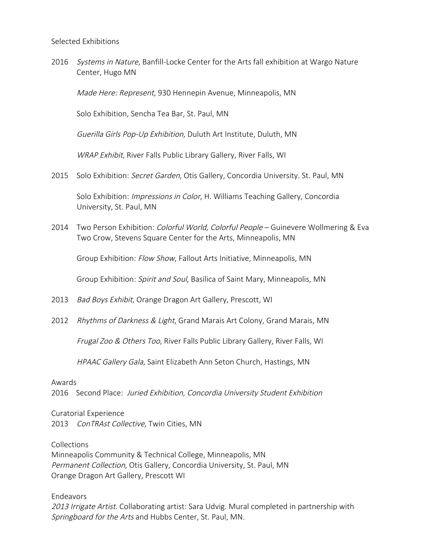2016 Systems in Nature, Banfill-Locke Center for the Arts fall exhibition at Wargo Nature Center, Hugo MN

Made Here: Represent, 930 Hennepin Avenue, Minneapolis, MN

Solo Exhibition, Sencha Tea Bar, St. Paul, MN

Guerilla Girls Pop-Up Exhibition, Duluth Art Institute, Duluth, MN

WRAP Exhibit, River Falls Public Library Gallery, River Falls, WI

2015 Solo Exhibition: Secret Garden, Otis Gallery, Concordia University. St. Paul, MN

Solo Exhibition: *Impressions in Color*, H. Williams Teaching Gallery, Concordia University, St. Paul, MN

2014 Two Person Exhibition: *Colorful World, Colorful People* – Guinevere Wollmering & Eva Two Crow, Stevens Square Center for the Arts, Minneapolis, MN

Group Exhibition: Flow Show, Fallout Arts Initiative, Minneapolis, MN

Group Exhibition: Spirit and Soul, Basilica of Saint Mary, Minneapolis, MN

- 2013 Bad Boys Exhibit, Orange Dragon Art Gallery, Prescott, WI
- 2012 Rhythms of Darkness & Light, Grand Marais Art Colony, Grand Marais, MN

Frugal Zoo & Others Too, River Falls Public Library Gallery, River Falls, WI

HPAAC Gallery Gala, Saint Elizabeth Ann Seton Church, Hastings, MN

## Awards

2016 Second Place: Juried Exhibition, Concordia University Student Exhibition

Curatorial Experience 2013 ConTRAst Collective, Twin Cities, MN

Collections

Minneapolis Community & Technical College, Minneapolis, MN Permanent Collection, Otis Gallery, Concordia University, St. Paul, MN Orange Dragon Art Gallery, Prescott WI

Endeavors

2013 Irrigate Artist. Collaborating artist: Sara Udvig. Mural completed in partnership with Springboard for the Arts and Hubbs Center, St. Paul, MN.